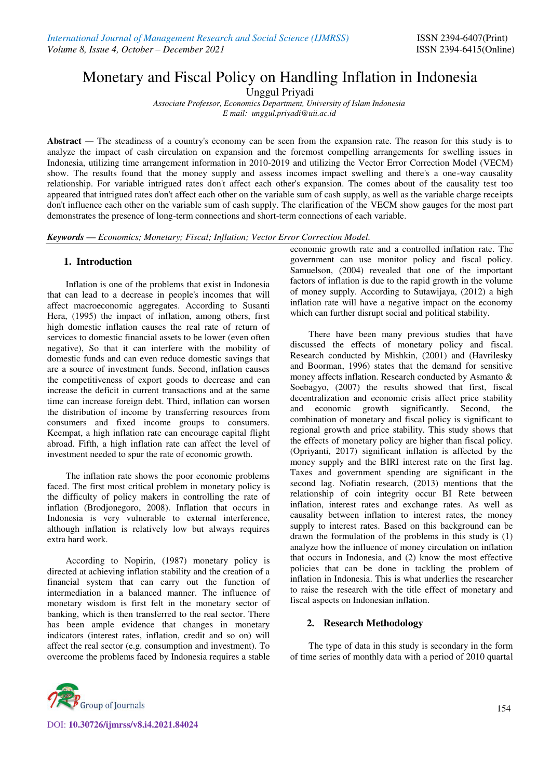# Monetary and Fiscal Policy on Handling Inflation in Indonesia

Unggul Priyadi

*Associate Professor, Economics Department, University of Islam Indonesia E mail: unggul.priyadi@uii.ac.id* 

**Abstract** *—* The steadiness of a country's economy can be seen from the expansion rate. The reason for this study is to analyze the impact of cash circulation on expansion and the foremost compelling arrangements for swelling issues in Indonesia, utilizing time arrangement information in 2010-2019 and utilizing the Vector Error Correction Model (VECM) show. The results found that the money supply and assess incomes impact swelling and there's a one-way causality relationship. For variable intrigued rates don't affect each other's expansion. The comes about of the causality test too appeared that intrigued rates don't affect each other on the variable sum of cash supply, as well as the variable charge receipts don't influence each other on the variable sum of cash supply. The clarification of the VECM show gauges for the most part demonstrates the presence of long-term connections and short-term connections of each variable.

*Keywords — Economics; Monetary; Fiscal; Inflation; Vector Error Correction Model.*

## **1. Introduction**

Inflation is one of the problems that exist in Indonesia that can lead to a decrease in people's incomes that will affect macroeconomic aggregates. According to Susanti Hera, (1995) the impact of inflation, among others, first high domestic inflation causes the real rate of return of services to domestic financial assets to be lower (even often negative), So that it can interfere with the mobility of domestic funds and can even reduce domestic savings that are a source of investment funds. Second, inflation causes the competitiveness of export goods to decrease and can increase the deficit in current transactions and at the same time can increase foreign debt. Third, inflation can worsen the distribution of income by transferring resources from consumers and fixed income groups to consumers. Keempat, a high inflation rate can encourage capital flight abroad. Fifth, a high inflation rate can affect the level of investment needed to spur the rate of economic growth.

The inflation rate shows the poor economic problems faced. The first most critical problem in monetary policy is the difficulty of policy makers in controlling the rate of inflation (Brodjonegoro, 2008). Inflation that occurs in Indonesia is very vulnerable to external interference, although inflation is relatively low but always requires extra hard work.

According to Nopirin, (1987) monetary policy is directed at achieving inflation stability and the creation of a financial system that can carry out the function of intermediation in a balanced manner. The influence of monetary wisdom is first felt in the monetary sector of banking, which is then transferred to the real sector. There has been ample evidence that changes in monetary indicators (interest rates, inflation, credit and so on) will affect the real sector (e.g. consumption and investment). To overcome the problems faced by Indonesia requires a stable

economic growth rate and a controlled inflation rate. The government can use monitor policy and fiscal policy. Samuelson, (2004) revealed that one of the important factors of inflation is due to the rapid growth in the volume of money supply. According to Sutawijaya, (2012) a high inflation rate will have a negative impact on the economy which can further disrupt social and political stability.

There have been many previous studies that have discussed the effects of monetary policy and fiscal. Research conducted by Mishkin, (2001) and (Havrilesky and Boorman, 1996) states that the demand for sensitive money affects inflation. Research conducted by Asmanto & Soebagyo, (2007) the results showed that first, fiscal decentralization and economic crisis affect price stability and economic growth significantly. Second, the combination of monetary and fiscal policy is significant to regional growth and price stability. This study shows that the effects of monetary policy are higher than fiscal policy. (Opriyanti, 2017) significant inflation is affected by the money supply and the BIRI interest rate on the first lag. Taxes and government spending are significant in the second lag. Nofiatin research, (2013) mentions that the relationship of coin integrity occur BI Rete between inflation, interest rates and exchange rates. As well as causality between inflation to interest rates, the money supply to interest rates. Based on this background can be drawn the formulation of the problems in this study is (1) analyze how the influence of money circulation on inflation that occurs in Indonesia, and (2) know the most effective policies that can be done in tackling the problem of inflation in Indonesia. This is what underlies the researcher to raise the research with the title effect of monetary and fiscal aspects on Indonesian inflation.

## **2. Research Methodology**

The type of data in this study is secondary in the form of time series of monthly data with a period of 2010 quartal



DOI: **10.30726/ijmrss/v8.i4.2021.84024**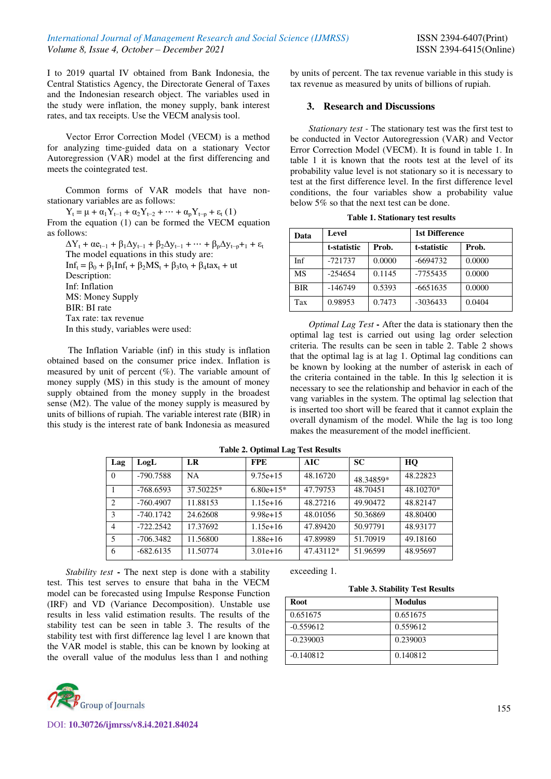I to 2019 quartal IV obtained from Bank Indonesia, the Central Statistics Agency, the Directorate General of Taxes and the Indonesian research object. The variables used in the study were inflation, the money supply, bank interest rates, and tax receipts. Use the VECM analysis tool.

Vector Error Correction Model (VECM) is a method for analyzing time-guided data on a stationary Vector Autoregression (VAR) model at the first differencing and meets the cointegrated test.

Common forms of VAR models that have nonstationary variables are as follows:

 $Y_t = \mu + \alpha_1 Y_{t-1} + \alpha_2 Y_{t-2} + \cdots + \alpha_p Y_{t-p} + \varepsilon_t (1)$ From the equation (1) can be formed the VECM equation as follows:

 $\Delta Y_t + \alpha e_{t-1} + \beta_1 \Delta y_{t-1} + \beta_2 \Delta y_{t-1} + \cdots + \beta_p \Delta y_{t-p} + \beta_t$ The model equations in this study are:  $Inf_t = \beta_0 + \beta_1 Inf_t + \beta_2 MS_t + \beta_3 tot_t + \beta_4 tax_t + ut$ Description: Inf: Inflation MS: Money Supply BIR: BI rate Tax rate: tax revenue In this study, variables were used:

 The Inflation Variable (inf) in this study is inflation obtained based on the consumer price index. Inflation is measured by unit of percent  $(\%)$ . The variable amount of money supply (MS) in this study is the amount of money supply obtained from the money supply in the broadest sense (M2). The value of the money supply is measured by units of billions of rupiah. The variable interest rate (BIR) in this study is the interest rate of bank Indonesia as measured

by units of percent. The tax revenue variable in this study is tax revenue as measured by units of billions of rupiah.

### **3. Research and Discussions**

*Stationary test -* The stationary test was the first test to be conducted in Vector Autoregression (VAR) and Vector Error Correction Model (VECM). It is found in table 1. In table 1 it is known that the roots test at the level of its probability value level is not stationary so it is necessary to test at the first difference level. In the first difference level conditions, the four variables show a probability value below 5% so that the next test can be done.

| Data       | Level       |        | 1st Difference |        |  |
|------------|-------------|--------|----------------|--------|--|
|            | t-statistic | Prob.  | t-statistic    | Prob.  |  |
| Inf        | $-721737$   | 0.0000 | $-6694732$     | 0.0000 |  |
| MS         | $-254654$   | 0.1145 | $-7755435$     | 0.0000 |  |
| <b>BIR</b> | $-146749$   | 0.5393 | $-6651635$     | 0.0000 |  |
| Tax        | 0.98953     | 0.7473 | $-3036433$     | 0.0404 |  |

**Table 1. Stationary test results** 

*Optimal Lag Test* **-** After the data is stationary then the optimal lag test is carried out using lag order selection criteria. The results can be seen in table 2. Table 2 shows that the optimal lag is at lag 1. Optimal lag conditions can be known by looking at the number of asterisk in each of the criteria contained in the table. In this lg selection it is necessary to see the relationship and behavior in each of the vang variables in the system. The optimal lag selection that is inserted too short will be feared that it cannot explain the overall dynamism of the model. While the lag is too long makes the measurement of the model inefficient.

| Lag            | LogL        | LR        | <b>FPE</b>  | <b>AIC</b> | <b>SC</b> | HO        |
|----------------|-------------|-----------|-------------|------------|-----------|-----------|
| $\Omega$       | -790.7588   | <b>NA</b> | $9.75e+15$  | 48.16720   | 48.34859* | 48.22823  |
|                | $-768.6593$ | 37.50225* | $6.80e+15*$ | 47.79753   | 48.70451  | 48.10270* |
| 2              | $-760.4907$ | 11.88153  | $1.15e+16$  | 48.27216   | 49.90472  | 48.82147  |
| $\mathcal{E}$  | $-740.1742$ | 24.62608  | $9.98e+15$  | 48.01056   | 50.36869  | 48.80400  |
| $\overline{4}$ | $-722.2542$ | 17.37692  | $1.15e+16$  | 47.89420   | 50.97791  | 48.93177  |
| $\overline{5}$ | $-706.3482$ | 11.56800  | $1.88e+16$  | 47.89989   | 51.70919  | 49.18160  |
| 6              | $-682.6135$ | 11.50774  | $3.01e+16$  | 47.43112*  | 51.96599  | 48.95697  |

**Table 2. Optimal Lag Test Results** 

*Stability test* **-** The next step is done with a stability test. This test serves to ensure that baha in the VECM model can be forecasted using Impulse Response Function (IRF) and VD (Variance Decomposition). Unstable use results in less valid estimation results. The results of the stability test can be seen in table 3. The results of the stability test with first difference lag level 1 are known that the VAR model is stable, this can be known by looking at the overall value of the modulus less than 1 and nothing



**Table 3. Stability Test Results** 

| <b>Root</b> | <b>Modulus</b> |
|-------------|----------------|
| 0.651675    | 0.651675       |
| $-0.559612$ | 0.559612       |
| $-0.239003$ | 0.239003       |
| $-0.140812$ | 0.140812       |

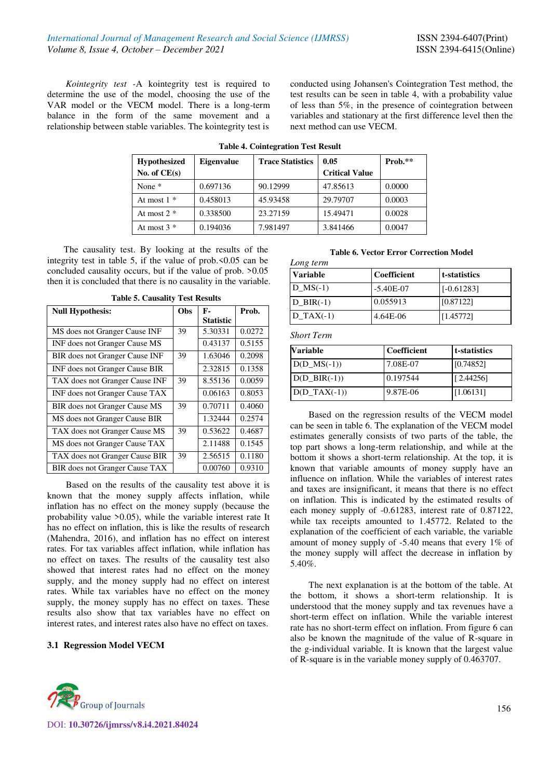*Kointegrity test -*A kointegrity test is required to determine the use of the model, choosing the use of the VAR model or the VECM model. There is a long-term balance in the form of the same movement and a relationship between stable variables. The kointegrity test is

conducted using Johansen's Cointegration Test method, the test results can be seen in table 4, with a probability value of less than 5%, in the presence of cointegration between variables and stationary at the first difference level then the next method can use VECM.

| <b>Hypothesized</b> | <b>Eigenvalue</b> | <b>Trace Statistics</b> | 0.05                  | $Prob.**$ |
|---------------------|-------------------|-------------------------|-----------------------|-----------|
| No. of $CE(s)$      |                   |                         | <b>Critical Value</b> |           |
| None $*$            | 0.697136          | 90.12999                | 47.85613              | 0.0000    |
| At most $1 *$       | 0.458013          | 45.93458                | 29.79707              | 0.0003    |
| At most $2 *$       | 0.338500          | 23.27159                | 15.49471              | 0.0028    |
| At most $3 *$       | 0.194036          | 7.981497                | 3.841466              | 0.0047    |

**Table 4. Cointegration Test Result** 

The causality test. By looking at the results of the integrity test in table 5, if the value of prob.<0.05 can be concluded causality occurs, but if the value of prob. >0.05 then it is concluded that there is no causality in the variable.

| <b>Null Hypothesis:</b>        | Obs | F-               | Prob.  |
|--------------------------------|-----|------------------|--------|
|                                |     | <b>Statistic</b> |        |
| MS does not Granger Cause INF  | 39  | 5.30331          | 0.0272 |
| INF does not Granger Cause MS  |     | 0.43137          | 0.5155 |
| BIR does not Granger Cause INF | 39  | 1.63046          | 0.2098 |
| INF does not Granger Cause BIR |     | 2.32815          | 0.1358 |
| TAX does not Granger Cause INF | 39  | 8.55136          | 0.0059 |
| INF does not Granger Cause TAX |     | 0.06163          | 0.8053 |
| BIR does not Granger Cause MS  | 39  | 0.70711          | 0.4060 |
| MS does not Granger Cause BIR  |     | 1.32444          | 0.2574 |
| TAX does not Granger Cause MS  | 39  | 0.53622          | 0.4687 |
| MS does not Granger Cause TAX  |     | 2.11488          | 0.1545 |
| TAX does not Granger Cause BIR | 39  | 2.56515          | 0.1180 |
| BIR does not Granger Cause TAX |     | 0.00760          | 0.9310 |

**Table 5. Causality Test Results** 

Based on the results of the causality test above it is known that the money supply affects inflation, while inflation has no effect on the money supply (because the probability value >0.05), while the variable interest rate It has no effect on inflation, this is like the results of research (Mahendra, 2016), and inflation has no effect on interest rates. For tax variables affect inflation, while inflation has no effect on taxes. The results of the causality test also showed that interest rates had no effect on the money supply, and the money supply had no effect on interest rates. While tax variables have no effect on the money supply, the money supply has no effect on taxes. These results also show that tax variables have no effect on interest rates, and interest rates also have no effect on taxes.

## **3.1 Regression Model VECM**



DOI: **10.30726/ijmrss/v8.i4.2021.84024**

#### **Table 6. Vector Error Correction Model**

| Long term       |             |              |  |  |  |
|-----------------|-------------|--------------|--|--|--|
| <b>Variable</b> | Coefficient | t-statistics |  |  |  |
| $D$ MS $(-1)$   | $-5.40E-07$ | $[-0.61283]$ |  |  |  |
| $D$ BIR(-1)     | 0.055913    | [0.87122]    |  |  |  |
| $D$ TAX $(-1)$  | 4.64E-06    | [1.45772]    |  |  |  |

*Short Term*

| <b>Variable</b>   | <b>Coefficient</b> | <b>t</b> -statistics |
|-------------------|--------------------|----------------------|
| $D(D$ $MS(-1))$   | 7.08E-07           | [0.74852]            |
| $D(D \, BIR(-1))$ | 0.197544           | [2.44256]            |
| $D(D_TAX(-1))$    | 9.87E-06           | [1.06131]            |

Based on the regression results of the VECM model can be seen in table 6. The explanation of the VECM model estimates generally consists of two parts of the table, the top part shows a long-term relationship, and while at the bottom it shows a short-term relationship. At the top, it is known that variable amounts of money supply have an influence on inflation. While the variables of interest rates and taxes are insignificant, it means that there is no effect on inflation. This is indicated by the estimated results of each money supply of -0.61283, interest rate of 0.87122, while tax receipts amounted to 1.45772. Related to the explanation of the coefficient of each variable, the variable amount of money supply of -5.40 means that every 1% of the money supply will affect the decrease in inflation by 5.40%.

The next explanation is at the bottom of the table. At the bottom, it shows a short-term relationship. It is understood that the money supply and tax revenues have a short-term effect on inflation. While the variable interest rate has no short-term effect on inflation. From figure 6 can also be known the magnitude of the value of R-square in the g-individual variable. It is known that the largest value of R-square is in the variable money supply of 0.463707.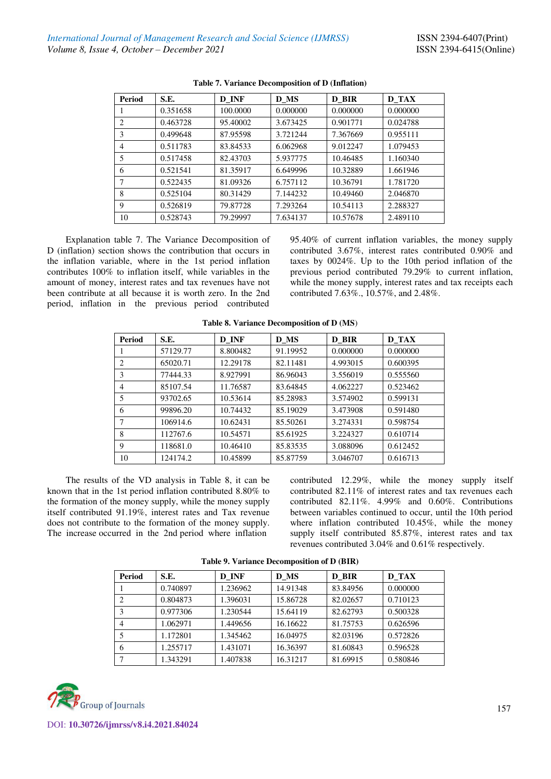| <b>Period</b> | S.E.     | D INF    | D MS     | D_BIR    | <b>D_TAX</b> |
|---------------|----------|----------|----------|----------|--------------|
|               | 0.351658 | 100,0000 | 0.000000 | 0.000000 | 0.000000     |
| 2             | 0.463728 | 95.40002 | 3.673425 | 0.901771 | 0.024788     |
| 3             | 0.499648 | 87.95598 | 3.721244 | 7.367669 | 0.955111     |
| 4             | 0.511783 | 83.84533 | 6.062968 | 9.012247 | 1.079453     |
| 5             | 0.517458 | 82.43703 | 5.937775 | 10.46485 | 1.160340     |
| 6             | 0.521541 | 81.35917 | 6.649996 | 10.32889 | 1.661946     |
| 7             | 0.522435 | 81.09326 | 6.757112 | 10.36791 | 1.781720     |
| 8             | 0.525104 | 80.31429 | 7.144232 | 10.49460 | 2.046870     |
| 9             | 0.526819 | 79.87728 | 7.293264 | 10.54113 | 2.288327     |
| 10            | 0.528743 | 79.29997 | 7.634137 | 10.57678 | 2.489110     |

#### **Table 7. Variance Decomposition of D (Inflation)**

Explanation table 7. The Variance Decomposition of D (inflation) section shows the contribution that occurs in the inflation variable, where in the 1st period inflation contributes 100% to inflation itself, while variables in the amount of money, interest rates and tax revenues have not been contribute at all because it is worth zero. In the 2nd period, inflation in the previous period contributed

95.40% of current inflation variables, the money supply contributed 3.67%, interest rates contributed 0.90% and taxes by 0024%. Up to the 10th period inflation of the previous period contributed 79.29% to current inflation, while the money supply, interest rates and tax receipts each contributed 7.63%., 10.57%, and 2.48%.

| <b>Period</b>  | S.E.     | D INF    | D MS     | D_BIR    | <b>D</b> TAX |
|----------------|----------|----------|----------|----------|--------------|
|                | 57129.77 | 8.800482 | 91.19952 | 0.000000 | 0.000000     |
| $\overline{c}$ | 65020.71 | 12.29178 | 82.11481 | 4.993015 | 0.600395     |
| 3              | 77444.33 | 8.927991 | 86.96043 | 3.556019 | 0.555560     |
| 4              | 85107.54 | 11.76587 | 83.64845 | 4.062227 | 0.523462     |
| 5              | 93702.65 | 10.53614 | 85.28983 | 3.574902 | 0.599131     |
| 6              | 99896.20 | 10.74432 | 85.19029 | 3.473908 | 0.591480     |
| 7              | 106914.6 | 10.62431 | 85.50261 | 3.274331 | 0.598754     |
| 8              | 112767.6 | 10.54571 | 85.61925 | 3.224327 | 0.610714     |
| 9              | 118681.0 | 10.46410 | 85.83535 | 3.088096 | 0.612452     |
| 10             | 124174.2 | 10.45899 | 85.87759 | 3.046707 | 0.616713     |

#### **Table 8. Variance Decomposition of D (MS**)

The results of the VD analysis in Table 8, it can be known that in the 1st period inflation contributed 8.80% to the formation of the money supply, while the money supply itself contributed 91.19%, interest rates and Tax revenue does not contribute to the formation of the money supply. The increase occurred in the 2nd period where inflation

contributed 12.29%, while the money supply itself contributed 82.11% of interest rates and tax revenues each contributed 82.11%. 4.99% and 0.60%. Contributions between variables continued to occur, until the 10th period where inflation contributed 10.45%, while the money supply itself contributed 85.87%, interest rates and tax revenues contributed 3.04% and 0.61% respectively.

| Period | S.E.     | D INF    | D MS     | D BIR    | D TAX    |
|--------|----------|----------|----------|----------|----------|
|        | 0.740897 | 1.236962 | 14.91348 | 83.84956 | 0.000000 |
| 2      | 0.804873 | 1.396031 | 15.86728 | 82.02657 | 0.710123 |
| 3      | 0.977306 | 1.230544 | 15.64119 | 82.62793 | 0.500328 |
| 4      | 1.062971 | 1.449656 | 16.16622 | 81.75753 | 0.626596 |
|        | 1.172801 | 1.345462 | 16.04975 | 82.03196 | 0.572826 |
| 6      | 1.255717 | 1.431071 | 16.36397 | 81.60843 | 0.596528 |
|        | 1.343291 | 1.407838 | 16.31217 | 81.69915 | 0.580846 |

**Table 9. Variance Decomposition of D (BIR)** 

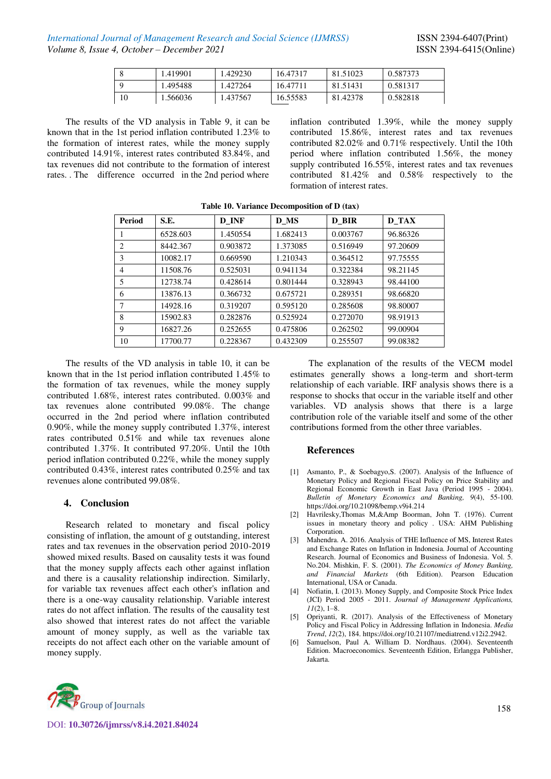|    | 1.419901 | .429230 | 16.47317 | 81.51023 | 0.587373 |
|----|----------|---------|----------|----------|----------|
|    | 1.495488 | .427264 | 16.47711 | 81.51431 | 0.581317 |
| 10 | .566036  | .437567 | 16.55583 | 81.42378 | 0.582818 |

The results of the VD analysis in Table 9, it can be known that in the 1st period inflation contributed 1.23% to the formation of interest rates, while the money supply contributed 14.91%, interest rates contributed 83.84%, and tax revenues did not contribute to the formation of interest rates. . The difference occurred in the 2nd period where

inflation contributed 1.39%, while the money supply contributed 15.86%, interest rates and tax revenues contributed 82.02% and 0.71% respectively. Until the 10th period where inflation contributed 1.56%, the money supply contributed 16.55%, interest rates and tax revenues contributed 81.42% and 0.58% respectively to the formation of interest rates.

| <b>Period</b> | S.E.     | D INF    | <b>D_MS</b> | D BIR    | D TAX    |
|---------------|----------|----------|-------------|----------|----------|
|               | 6528.603 | 1.450554 | 1.682413    | 0.003767 | 96.86326 |
| 2             | 8442.367 | 0.903872 | 1.373085    | 0.516949 | 97.20609 |
| 3             | 10082.17 | 0.669590 | 1.210343    | 0.364512 | 97.75555 |
| 4             | 11508.76 | 0.525031 | 0.941134    | 0.322384 | 98.21145 |
| 5             | 12738.74 | 0.428614 | 0.801444    | 0.328943 | 98.44100 |
| 6             | 13876.13 | 0.366732 | 0.675721    | 0.289351 | 98.66820 |
| 7             | 14928.16 | 0.319207 | 0.595120    | 0.285608 | 98.80007 |
| 8             | 15902.83 | 0.282876 | 0.525924    | 0.272070 | 98.91913 |
| 9             | 16827.26 | 0.252655 | 0.475806    | 0.262502 | 99.00904 |
| 10            | 17700.77 | 0.228367 | 0.432309    | 0.255507 | 99.08382 |

**Table 10. Variance Decomposition of D (tax)** 

The results of the VD analysis in table 10, it can be known that in the 1st period inflation contributed 1.45% to the formation of tax revenues, while the money supply contributed 1.68%, interest rates contributed. 0.003% and tax revenues alone contributed 99.08%. The change occurred in the 2nd period where inflation contributed 0.90%, while the money supply contributed 1.37%, interest rates contributed 0.51% and while tax revenues alone contributed 1.37%. It contributed 97.20%. Until the 10th period inflation contributed 0.22%, while the money supply contributed 0.43%, interest rates contributed 0.25% and tax revenues alone contributed 99.08%.

## **4. Conclusion**

Research related to monetary and fiscal policy consisting of inflation, the amount of g outstanding, interest rates and tax revenues in the observation period 2010-2019 showed mixed results. Based on causality tests it was found that the money supply affects each other against inflation and there is a causality relationship indirection. Similarly, for variable tax revenues affect each other's inflation and there is a one-way causality relationship. Variable interest rates do not affect inflation. The results of the causality test also showed that interest rates do not affect the variable amount of money supply, as well as the variable tax receipts do not affect each other on the variable amount of money supply.

The explanation of the results of the VECM model estimates generally shows a long-term and short-term relationship of each variable. IRF analysis shows there is a response to shocks that occur in the variable itself and other variables. VD analysis shows that there is a large contribution role of the variable itself and some of the other contributions formed from the other three variables.

## **References**

- [1] Asmanto, P., & Soebagyo,S. (2007). Analysis of the Influence of Monetary Policy and Regional Fiscal Policy on Price Stability and Regional Economic Growth in East Java (Period 1995 - 2004). *Bulletin of Monetary Economics and Banking, 9*(4), 55-100. https://doi.org/10.21098/bemp.v9i4.214
- [2] Havrilesky,Thomas M,&Amp Boorman, John T. (1976). Current issues in monetary theory and policy . USA: AHM Publishing Corporation.
- [3] Mahendra. A. 2016. Analysis of THE Influence of MS, Interest Rates and Exchange Rates on Inflation in Indonesia. Journal of Accounting Research. Journal of Economics and Business of Indonesia. Vol. 5. No.204. Mishkin, F. S. (2001). *The Economics of Money Banking, and Financial Markets* (6th Edition). Pearson Education International, USA or Canada.
- [4] Nofiatin, I. (2013). Money Supply, and Composite Stock Price Index (JCI) Period 2005 - 2011. *Journal of Management Applications, 11*(2), 1–8.
- [5] Opriyanti, R. (2017). Analysis of the Effectiveness of Monetary Policy and Fiscal Policy in Addressing Inflation in Indonesia. *Media Trend*, *12*(2), 184. https://doi.org/10.21107/mediatrend.v12i2.2942.
- [6] Samuelson, Paul A. William D. Nordhaus. (2004). Seventeenth Edition. Macroeconomics. Seventeenth Edition, Erlangga Publisher, Jakarta.



DOI: **10.30726/ijmrss/v8.i4.2021.84024**